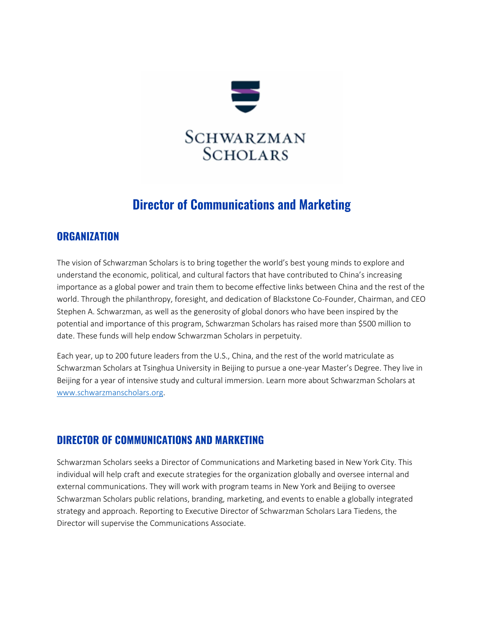

## **Director of Communications and Marketing**

### **ORGANIZATION**

The vision of Schwarzman Scholars is to bring together the world's best young minds to explore and understand the economic, political, and cultural factors that have contributed to China's increasing importance as a global power and train them to become effective links between China and the rest of the world. Through the philanthropy, foresight, and dedication of Blackstone Co-Founder, Chairman, and CEO Stephen A. Schwarzman, as well as the generosity of global donors who have been inspired by the potential and importance of this program, Schwarzman Scholars has raised more than \$500 million to date. These funds will help endow Schwarzman Scholars in perpetuity.

Each year, up to 200 future leaders from the U.S., China, and the rest of the world matriculate as Schwarzman Scholars at Tsinghua University in Beijing to pursue a one-year Master's Degree. They live in Beijing for a year of intensive study and cultural immersion. Learn more about Schwarzman Scholars at [www.schwarzmanscholars.org.](http://www.schwarzmanscholars.org/)

## **DIRECTOR OF COMMUNICATIONS AND MARKETING**

Schwarzman Scholars seeks a Director of Communications and Marketing based in New York City. This individual will help craft and execute strategies for the organization globally and oversee internal and external communications. They will work with program teams in New York and Beijing to oversee Schwarzman Scholars public relations, branding, marketing, and events to enable a globally integrated strategy and approach. Reporting to Executive Director of Schwarzman Scholars Lara Tiedens, the Director will supervise the Communications Associate.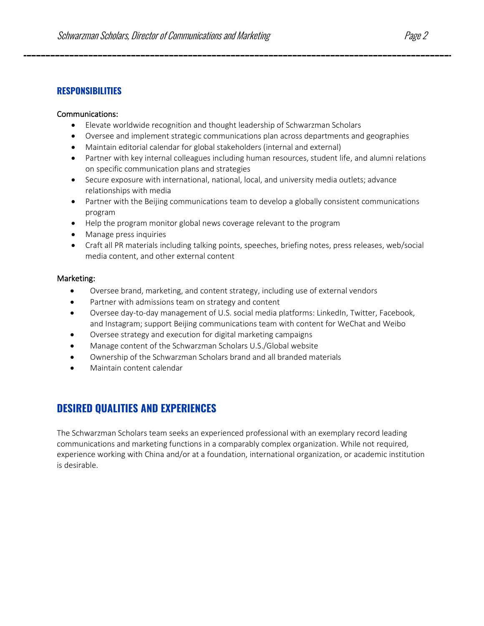#### **RESPONSIBILITIES**

#### Communications:

- Elevate worldwide recognition and thought leadership of Schwarzman Scholars
- Oversee and implement strategic communications plan across departments and geographies
- Maintain editorial calendar for global stakeholders (internal and external)
- Partner with key internal colleagues including human resources, student life, and alumni relations on specific communication plans and strategies
- Secure exposure with international, national, local, and university media outlets; advance relationships with media
- Partner with the Beijing communications team to develop a globally consistent communications program
- Help the program monitor global news coverage relevant to the program
- Manage press inquiries
- Craft all PR materials including talking points, speeches, briefing notes, press releases, web/social media content, and other external content

#### Marketing:

- Oversee brand, marketing, and content strategy, including use of external vendors
- Partner with admissions team on strategy and content
- Oversee day-to-day management of U.S. social media platforms: LinkedIn, Twitter, Facebook, and Instagram; support Beijing communications team with content for WeChat and Weibo
- Oversee strategy and execution for digital marketing campaigns
- Manage content of the Schwarzman Scholars U.S./Global website
- Ownership of the Schwarzman Scholars brand and all branded materials
- Maintain content calendar

## **DESIRED QUALITIES AND EXPERIENCES**

The Schwarzman Scholars team seeks an experienced professional with an exemplary record leading communications and marketing functions in a comparably complex organization. While not required, experience working with China and/or at a foundation, international organization, or academic institution is desirable.